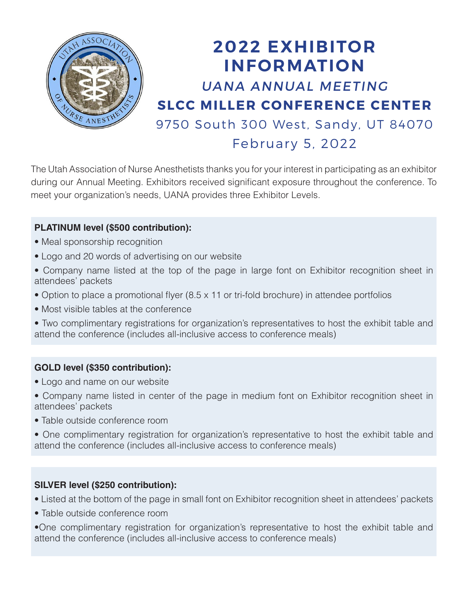

# 2022 EXHIBITOR INFORMATION UANA ANNUAL MEETING SLCC MILLER CONFERENCE CENTER 9750 South 300 West, Sandy, UT 84070 February 5, 2022

The Utah Association of Nurse Anesthetists thanks you for your interest in participating as an exhibitor during our Annual Meeting. Exhibitors received significant exposure throughout the conference. To meet your organization's needs, UANA provides three Exhibitor Levels.

#### **PLATINUM level (\$500 contribution):**

- Meal sponsorship recognition
- Logo and 20 words of advertising on our website
- Company name listed at the top of the page in large font on Exhibitor recognition sheet in attendees' packets
- Option to place a promotional flyer (8.5 x 11 or tri-fold brochure) in attendee portfolios
- Most visible tables at the conference
- Two complimentary registrations for organization's representatives to host the exhibit table and attend the conference (includes all-inclusive access to conference meals)

#### **GOLD level (\$350 contribution):**

- Logo and name on our website
- Company name listed in center of the page in medium font on Exhibitor recognition sheet in attendees' packets
- Table outside conference room
- One complimentary registration for organization's representative to host the exhibit table and attend the conference (includes all-inclusive access to conference meals)

#### **SILVER level (\$250 contribution):**

- Listed at the bottom of the page in small font on Exhibitor recognition sheet in attendees' packets
- Table outside conference room
- •One complimentary registration for organization's representative to host the exhibit table and attend the conference (includes all-inclusive access to conference meals)